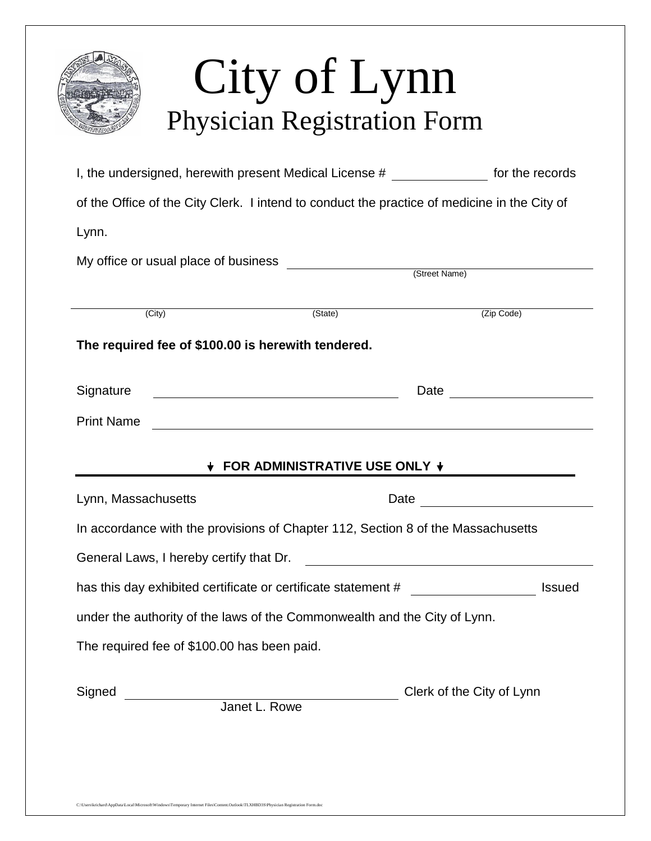|                                                                                              | I, the undersigned, herewith present Medical License # _______________ for the records |                                                                                                                                                                                                                                |
|----------------------------------------------------------------------------------------------|----------------------------------------------------------------------------------------|--------------------------------------------------------------------------------------------------------------------------------------------------------------------------------------------------------------------------------|
| of the Office of the City Clerk. I intend to conduct the practice of medicine in the City of |                                                                                        |                                                                                                                                                                                                                                |
| Lynn.                                                                                        |                                                                                        |                                                                                                                                                                                                                                |
|                                                                                              |                                                                                        |                                                                                                                                                                                                                                |
| (City)                                                                                       | (State)                                                                                | (Zip Code)                                                                                                                                                                                                                     |
| The required fee of \$100.00 is herewith tendered.                                           |                                                                                        |                                                                                                                                                                                                                                |
|                                                                                              |                                                                                        |                                                                                                                                                                                                                                |
| Signature                                                                                    | <u> 1989 - Johann Barbara, martxa eta politikar</u>                                    | Date <u>experience</u>                                                                                                                                                                                                         |
| <b>Print Name</b>                                                                            | <u> 1989 - Andrea Stadt Britain, fransk politik (d. 1989)</u>                          |                                                                                                                                                                                                                                |
|                                                                                              |                                                                                        |                                                                                                                                                                                                                                |
|                                                                                              |                                                                                        |                                                                                                                                                                                                                                |
|                                                                                              | FOR ADMINISTRATIVE USE ONLY +                                                          |                                                                                                                                                                                                                                |
| Lynn, Massachusetts                                                                          |                                                                                        | Date and the state of the state of the state of the state of the state of the state of the state of the state of the state of the state of the state of the state of the state of the state of the state of the state of the s |
| In accordance with the provisions of Chapter 112, Section 8 of the Massachusetts             |                                                                                        |                                                                                                                                                                                                                                |
| General Laws, I hereby certify that Dr.                                                      | <u> 1989 - Johann Barbara, martin amerikan basal da</u>                                |                                                                                                                                                                                                                                |
| has this day exhibited certificate or certificate statement # __________________             |                                                                                        | <b>Issued</b>                                                                                                                                                                                                                  |
| under the authority of the laws of the Commonwealth and the City of Lynn.                    |                                                                                        |                                                                                                                                                                                                                                |
| The required fee of \$100.00 has been paid.                                                  |                                                                                        |                                                                                                                                                                                                                                |
| Signed<br><b>Manuel L. Rowe</b><br><b>Janet L. Rowe</b>                                      |                                                                                        | Clerk of the City of Lynn                                                                                                                                                                                                      |

C:\Users\krichard\AppData\Local\Microsoft\Windows\Temporary Internet Files\Content.Outlook\TLXHBD3S\Physician Registration Form.doc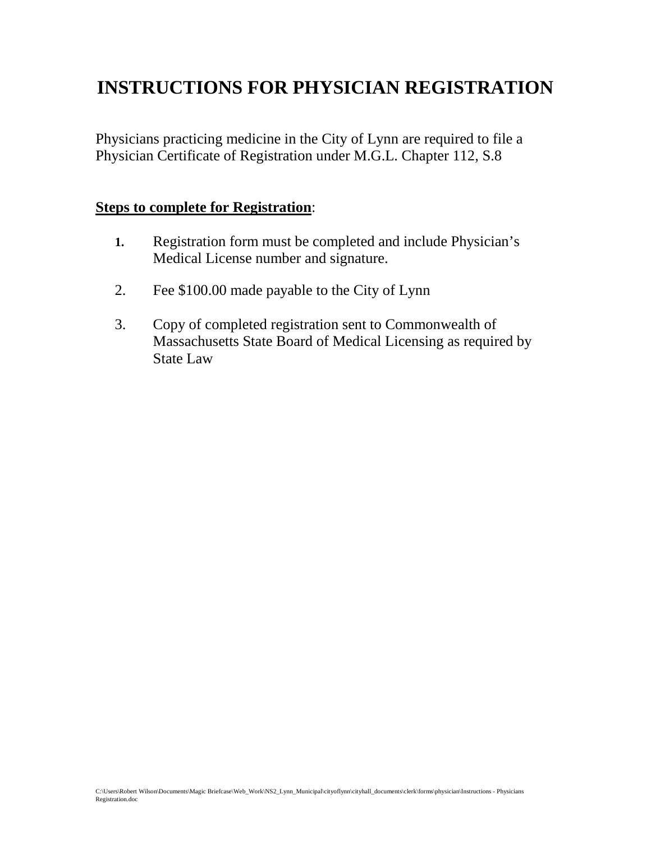## **INSTRUCTIONS FOR PHYSICIAN REGISTRATION**

Physicians practicing medicine in the City of Lynn are required to file a Physician Certificate of Registration under M.G.L. Chapter 112, S.8

## **Steps to complete for Registration**:

- **1.** Registration form must be completed and include Physician's Medical License number and signature.
- 2. Fee \$100.00 made payable to the City of Lynn
- 3. Copy of completed registration sent to Commonwealth of Massachusetts State Board of Medical Licensing as required by State Law